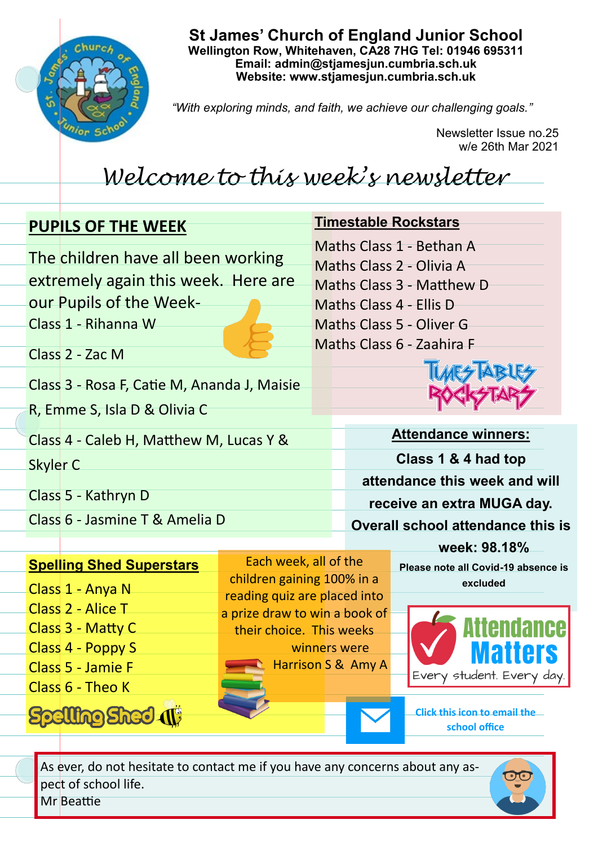

### **St James' Church of England Junior School Wellington Row, Whitehaven, CA28 7HG Tel: 01946 695311 Email: admin@stjamesjun.cumbria.sch.uk Website: www.stjamesjun.cumbria.sch.uk**

*"With exploring minds, and faith, we achieve our challenging goals."*

Newsletter Issue no.25 w/e 26th Mar 2021

# *Welcome to this week's newsletter*

Each week, all of the children gaining 100% in a reading quiz are placed into a prize draw to win a book of their choice. This weeks

> winners were Harrison S & Amy A

## **PUPILS OF THE WEEK**

R, Emme S, Isla D & Olivia C

Class 6 - Jasmine T & Amelia D

**Spelling Shed Superstars**

**Spelling Shed (1)** 

Class 2 - Zac M

Skyler C

Class 5 - Kathryn D

Class 1 - Anya N Class 2 - Alice T

Class 3 - Matty C Class 4 - Poppy S Class 5 - Jamie F Class 6 - Theo K

The children have all been working extremely again this week. Here are our Pupils of the Week-Class 1 - Rihanna W

Class 3 - Rosa F, Catie M, Ananda J, Maisie

Class 4 - Caleb H, Matthew M, Lucas Y &

**Timestable Rockstars** Maths Class 1 - Bethan A Maths Class 2 - Olivia A

Maths Class 3 - Matthew D

Maths Class 4 - Ellis D Maths Class 5 - Oliver G Maths Class 6 - Zaahira F

**Attendance winners: Class 1 & 4 had top attendance this week and will receive an extra MUGA day. Overall school attendance this is** 

**week: 98.18% Please note all Covid-19 absence is excluded** 



**Click this icon to email the school office**

As ever, do not hesitate to contact me if you have any concerns about any aspect of school life.

Mr Beattie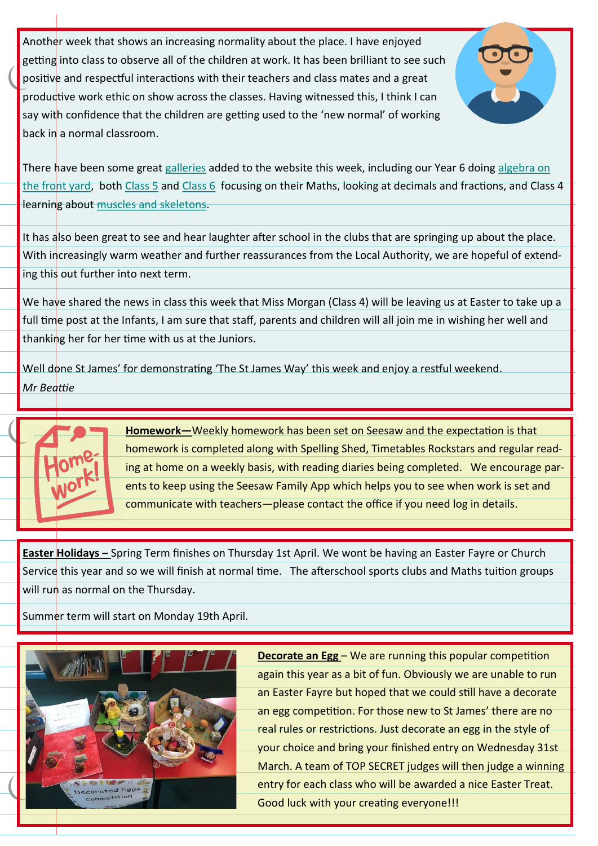Another week that shows an increasing normality about the place. I have enjoyed getting into class to observe all of the children at work. It has been brilliant to see such positive and respectful interactions with their teachers and class mates and a great productive work ethic on show across the classes. Having witnessed this, I think I can say with confidence that the children are getting used to the 'new normal' of working back in a normal classroom.



There have been some great [galleries](http://www.stjamesjun.cumbria.sch.uk/works) added to the website this week, including our Year 6 doing algebra on [the front yard,](http://www.stjamesjun.cumbria.sch.uk/work/year-6-maths---algebra-in-action/64255) both [Class 5](http://www.stjamesjun.cumbria.sch.uk/work/tenths-as-decimals/64321) and [Class 6](http://www.stjamesjun.cumbria.sch.uk/work/mrs-foyes-maths-group---finding-fractions-of-amounts/64464) focusing on their Maths, looking at decimals and fractions, and Class 4 learning about [muscles and skeletons.](http://www.stjamesjun.cumbria.sch.uk/work/science---muscles-and-our-skeleton/64307)

It has also been great to see and hear laughter after school in the clubs that are springing up about the place. With increasingly warm weather and further reassurances from the Local Authority, we are hopeful of extending this out further into next term.

We have shared the news in class this week that Miss Morgan (Class 4) will be leaving us at Easter to take up a full time post at the Infants, I am sure that staff, parents and children will all join me in wishing her well and thanking her for her time with us at the Juniors.

Well done St James' for demonstrating 'The St James Way' this week and enjoy a restful weekend. *Mr Beattie* 



**Homework—**Weekly homework has been set on Seesaw and the expectation is that homework is completed along with Spelling Shed, Timetables Rockstars and regular reading at home on a weekly basis, with reading diaries being completed. We encourage parents to keep using the Seesaw Family App which helps you to see when work is set and communicate with teachers—please contact the office if you need log in details.

**Easter Holidays –** Spring Term finishes on Thursday 1st April. We wont be having an Easter Fayre or Church Service this year and so we will finish at normal time. The afterschool sports clubs and Maths tuition groups will run as normal on the Thursday.

Summer term will start on Monday 19th April.



**Decorate an Egg – We are running this popular competition** again this year as a bit of fun. Obviously we are unable to run an Easter Fayre but hoped that we could still have a decorate an egg competition. For those new to St James' there are no real rules or restrictions. Just decorate an egg in the style of your choice and bring your finished entry on Wednesday 31st March. A team of TOP SECRET judges will then judge a winning entry for each class who will be awarded a nice Easter Treat. Good luck with your creating everyone!!!